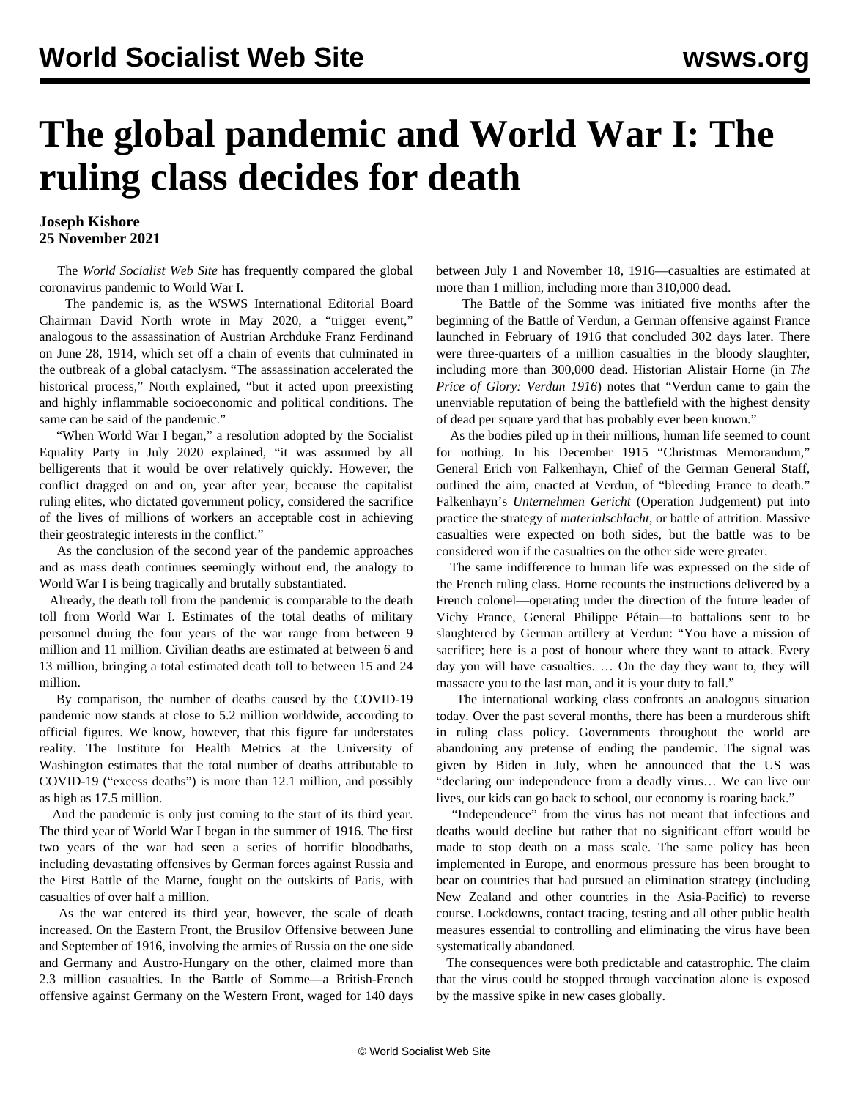## **The global pandemic and World War I: The ruling class decides for death**

## **Joseph Kishore 25 November 2021**

 The *World Socialist Web Site* has frequently compared the global coronavirus pandemic to World War I.

 The pandemic is, as the WSWS International Editorial Board Chairman David North [wrote](/en/articles/2020/05/04/dave-m04.html) in May 2020, a "trigger event," analogous to the assassination of Austrian Archduke Franz Ferdinand on June 28, 1914, which set off a chain of events that culminated in the outbreak of a global cataclysm. "The assassination accelerated the historical process," North explained, "but it acted upon preexisting and highly inflammable socioeconomic and political conditions. The same can be said of the pandemic."

 "When World War I began," a [resolution](/en/articles/2020/08/01/reso-a01.html) adopted by the Socialist Equality Party in July 2020 explained, "it was assumed by all belligerents that it would be over relatively quickly. However, the conflict dragged on and on, year after year, because the capitalist ruling elites, who dictated government policy, considered the sacrifice of the lives of millions of workers an acceptable cost in achieving their geostrategic interests in the conflict."

 As the conclusion of the second year of the pandemic approaches and as mass death continues seemingly without end, the analogy to World War I is being tragically and brutally substantiated.

 Already, the death toll from the pandemic is comparable to the death toll from World War I. Estimates of the total deaths of military personnel during the four years of the war range from between 9 million and 11 million. Civilian deaths are estimated at between 6 and 13 million, bringing a total estimated death toll to between 15 and 24 million.

 By comparison, the number of deaths caused by the COVID-19 pandemic now stands at close to 5.2 million worldwide, according to official figures. We know, however, that this figure far understates reality. The Institute for Health Metrics at the University of Washington estimates that the total number of deaths attributable to COVID-19 ("excess deaths") is more than 12.1 million, and possibly as high as 17.5 million.

 And the pandemic is only just coming to the start of its third year. The third year of World War I began in the summer of 1916. The first two years of the war had seen a series of horrific bloodbaths, including devastating offensives by German forces against Russia and the First Battle of the Marne, fought on the outskirts of Paris, with casualties of over half a million.

 As the war entered its third year, however, the scale of death increased. On the Eastern Front, the Brusilov Offensive between June and September of 1916, involving the armies of Russia on the one side and Germany and Austro-Hungary on the other, claimed more than 2.3 million casualties. In the Battle of Somme—a British-French offensive against Germany on the Western Front, waged for 140 days between July 1 and November 18, 1916—casualties are estimated at more than 1 million, including more than 310,000 dead.

 The Battle of the Somme was initiated five months after the beginning of the Battle of Verdun, a German offensive against France launched in February of 1916 that concluded 302 days later. There were three-quarters of a million casualties in the bloody slaughter, including more than 300,000 dead. Historian Alistair Horne (in *The Price of Glory: Verdun 1916*) notes that "Verdun came to gain the unenviable reputation of being the battlefield with the highest density of dead per square yard that has probably ever been known."

 As the bodies piled up in their millions, human life seemed to count for nothing. In his December 1915 "Christmas Memorandum," General Erich von Falkenhayn, Chief of the German General Staff, outlined the aim, enacted at Verdun, of "bleeding France to death." Falkenhayn's *Unternehmen Gericht* (Operation Judgement) put into practice the strategy of *materialschlacht*, or battle of attrition. Massive casualties were expected on both sides, but the battle was to be considered won if the casualties on the other side were greater.

 The same indifference to human life was expressed on the side of the French ruling class. Horne recounts the instructions delivered by a French colonel—operating under the direction of the future leader of Vichy France, General Philippe Pétain—to battalions sent to be slaughtered by German artillery at Verdun: "You have a mission of sacrifice; here is a post of honour where they want to attack. Every day you will have casualties. … On the day they want to, they will massacre you to the last man, and it is your duty to fall."

 The international working class confronts an analogous situation today. Over the past several months, there has been a murderous shift in ruling class policy. Governments throughout the world are abandoning any pretense of ending the pandemic. The signal was given by Biden in July, when he [announced](/en/articles/2021/07/26/pers-j26.html) that the US was "declaring our independence from a deadly virus… We can live our lives, our kids can go back to school, our economy is roaring back."

 "Independence" from the virus has not meant that infections and deaths would decline but rather that no significant effort would be made to stop death on a mass scale. The same policy has been implemented in Europe, and enormous pressure has been brought to bear on countries that had pursued an elimination strategy (including New Zealand and other countries in the Asia-Pacific) to reverse course. Lockdowns, contact tracing, testing and all other public health measures essential to controlling and eliminating the virus have been systematically abandoned.

 The consequences were both predictable and catastrophic. The claim that the virus could be stopped through vaccination alone is exposed by the massive spike in new cases globally.